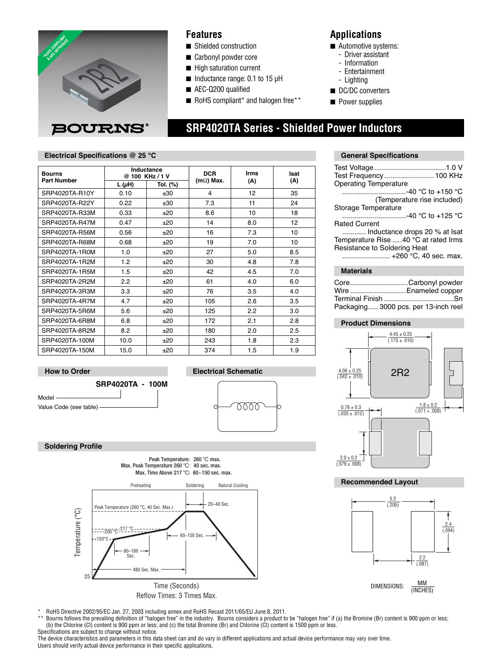

### **Features**

- Shielded construction
- Carbonyl powder core
- High saturation current
- Inductance range: 0.1 to 15 µH

**Electrical Schematic**

rra

- AEC-Q200 qualified
- RoHS compliant<sup>\*</sup> and halogen free\*\*

### **Applications**

- Automotive systems:
	- Driver assistant
	- Information
	- Entertainment
	- Lighting
- DC/DC converters
- Power supplies

# **SRP4020TA Series - Shielded Power Inductors**

### **Electrical Specifications @ 25 °C General Specifications General Specifications**

| <b>Bourns</b><br><b>Part Number</b> | Inductance<br>@ 100 KHz / 1 V |          | <b>DCR</b>       | <b>Irms</b> | Isat |
|-------------------------------------|-------------------------------|----------|------------------|-------------|------|
|                                     | L ( $\mu$ H)                  | Tol. (%) | $(m\Omega)$ Max. | (A)         | (A)  |
| SRP4020TA-R10Y                      | 0.10                          | ±30      | 4                | 12          | 35   |
| SRP4020TA-R22Y                      | 0.22                          | ±30      | 7.3              | 11          | 24   |
| SRP4020TA-R33M                      | 0.33                          | ±20      | 8.6              | 10          | 18   |
| SRP4020TA-R47M                      | 0.47                          | ±20      | 14               | 8.0         | 12   |
| SRP4020TA-R56M                      | 0.56                          | ±20      | 16               | 7.3         | 10   |
| SRP4020TA-R68M                      | 0.68                          | ±20      | 19               | 7.0         | 10   |
| SRP4020TA-1R0M                      | 1.0                           | ±20      | 27               | 5.0         | 8.5  |
| SRP4020TA-1R2M                      | 1.2                           | ±20      | 30               | 4.8         | 7.8  |
| SRP4020TA-1R5M                      | 1.5                           | ±20      | 42               | 4.5         | 7.0  |
| SRP4020TA-2R2M                      | 2.2                           | ±20      | 61               | 4.0         | 6.0  |
| SRP4020TA-3R3M                      | 3.3                           | ±20      | 76               | 3.5         | 4.0  |
| SRP4020TA-4R7M                      | 4.7                           | ±20      | 105              | 2.6         | 3.5  |
| SRP4020TA-5R6M                      | 5.6                           | ±20      | 125              | 2.2         | 3.0  |
| SRP4020TA-6R8M                      | 6.8                           | ±20      | 172              | 2.1         | 2.8  |
| SRP4020TA-8R2M                      | 8.2                           | ±20      | 180              | 2.0         | 2.5  |
| SRP4020TA-100M                      | 10.0                          | ±20      | 243              | 1.8         | 2.3  |
| SRP4020TA-150M                      | 15.0                          | ±20      | 374              | 1.5         | 1.9  |



### **Soldering Profile**



| Test Frequency 100 KHz                |
|---------------------------------------|
| <b>Operating Temperature</b>          |
| ………………………-40 °C to +150 °C            |
| (Temperature rise included)           |
| Storage Temperature                   |
| ………………………-40 °C to +125 °C            |
| <b>Rated Current</b>                  |
| Inductance drops 20 % at Isat         |
| Temperature Rise  40 °C at rated Irms |
| Resistance to Soldering Heat          |
| +260 °C, 40 sec. max.                 |
| .                                     |

### **Materials**

| CoreCarbonyl powder                  |
|--------------------------------------|
| Wire Enameled copper                 |
| Terminal Finish Sn                   |
| Packaging 3000 pcs. per 13-inch reel |
|                                      |

#### **Product Dimensions**



#### **Recommended Layout**



\* RoHS Directive 2002/95/EC Jan. 27, 2003 including annex and RoHS Recast 2011/65/EU June 8, 2011.

\*\* Bourns follows the prevailing definition of "halogen free" in the industry. Bourns considers a product to be "halogen free" if (a) the Bromine (Br) content is 900 ppm or less; (b) the Chlorine (Cl) content is 900 ppm or less; and (c) the total Bromine (Br) and Chlorine (Cl) content is 1500 ppm or less. Specifications are subject to change without notice.

The device characteristics and parameters in this data sheet can and do vary in different applications and actual device performance may vary over time. Users should verify actual device performance in their specific applications.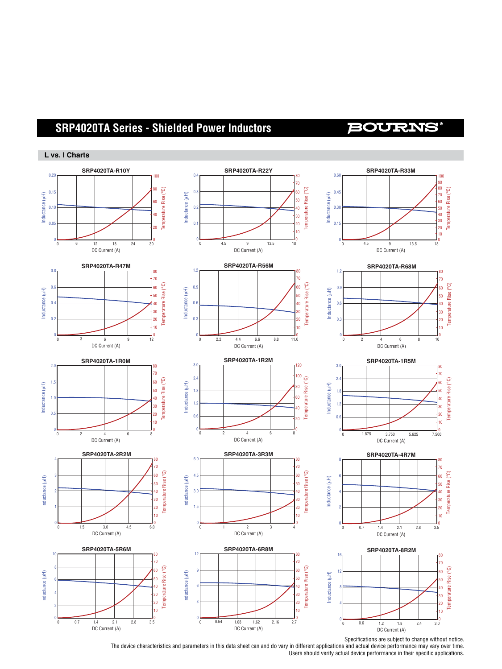## **SRP4020TA Series - Shielded Power Inductors**

### **BOURNS**

#### **L vs. I Charts**



The device characteristics and parameters in this data sheet can and do vary in different applications and actual device performance may vary over time. Users should verify actual device performance in their specific applications.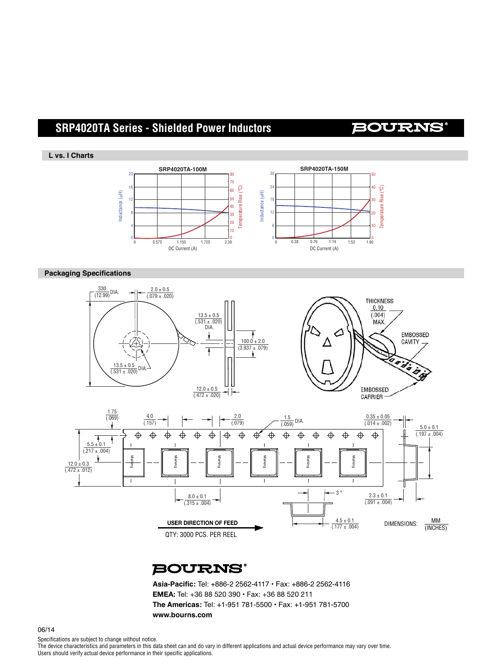## **SRP4020TA Series - Shielded Power Inductors**

### **BOURNS**

#### **L vs. I Charts**



#### **Packaging Specifications**





**BOURNS®** 

Asia-Pacific: Tel: +886-2 2562-4117 · Fax: +886-2 2562-4116 **EMEA:** Tel: +36 88 520 390 • Fax: +36 88 520 211 **The Americas:** Tel: +1-951 781-5500 • Fax: +1-951 781-5700 **www.bourns.com**

Specifications are subject to change without notice.

The device characteristics and parameters in this data sheet can and do vary in different applications and actual device performance may vary over time. Users should verify actual device performance in their specific applications.